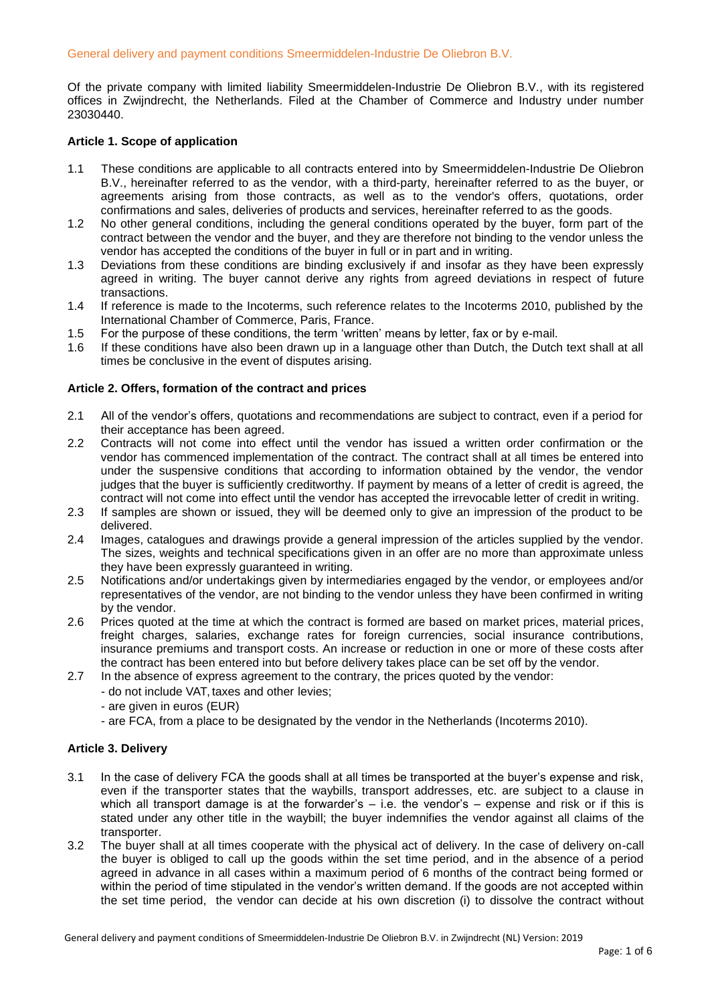Of the private company with limited liability Smeermiddelen-Industrie De Oliebron B.V., with its registered offices in Zwijndrecht, the Netherlands. Filed at the Chamber of Commerce and Industry under number 23030440.

## **Article 1. Scope of application**

- 1.1 These conditions are applicable to all contracts entered into by Smeermiddelen-Industrie De Oliebron B.V., hereinafter referred to as the vendor, with a third-party, hereinafter referred to as the buyer, or agreements arising from those contracts, as well as to the vendor's offers, quotations, order confirmations and sales, deliveries of products and services, hereinafter referred to as the goods.
- 1.2 No other general conditions, including the general conditions operated by the buyer, form part of the contract between the vendor and the buyer, and they are therefore not binding to the vendor unless the vendor has accepted the conditions of the buyer in full or in part and in writing.
- 1.3 Deviations from these conditions are binding exclusively if and insofar as they have been expressly agreed in writing. The buyer cannot derive any rights from agreed deviations in respect of future transactions.
- 1.4 If reference is made to the Incoterms, such reference relates to the Incoterms 2010, published by the International Chamber of Commerce, Paris, France.
- 1.5 For the purpose of these conditions, the term 'written' means by letter, fax or by e-mail.
- 1.6 If these conditions have also been drawn up in a language other than Dutch, the Dutch text shall at all times be conclusive in the event of disputes arising.

### **Article 2. Offers, formation of the contract and prices**

- 2.1 All of the vendor's offers, quotations and recommendations are subject to contract, even if a period for their acceptance has been agreed.
- 2.2 Contracts will not come into effect until the vendor has issued a written order confirmation or the vendor has commenced implementation of the contract. The contract shall at all times be entered into under the suspensive conditions that according to information obtained by the vendor, the vendor judges that the buyer is sufficiently creditworthy. If payment by means of a letter of credit is agreed, the contract will not come into effect until the vendor has accepted the irrevocable letter of credit in writing.
- 2.3 If samples are shown or issued, they will be deemed only to give an impression of the product to be delivered.
- 2.4 Images, catalogues and drawings provide a general impression of the articles supplied by the vendor. The sizes, weights and technical specifications given in an offer are no more than approximate unless they have been expressly guaranteed in writing.
- 2.5 Notifications and/or undertakings given by intermediaries engaged by the vendor, or employees and/or representatives of the vendor, are not binding to the vendor unless they have been confirmed in writing by the vendor.
- 2.6 Prices quoted at the time at which the contract is formed are based on market prices, material prices, freight charges, salaries, exchange rates for foreign currencies, social insurance contributions, insurance premiums and transport costs. An increase or reduction in one or more of these costs after the contract has been entered into but before delivery takes place can be set off by the vendor.
- 2.7 In the absence of express agreement to the contrary, the prices quoted by the vendor:
	- do not include VAT, taxes and other levies;
	- are given in euros (EUR)
	- are FCA, from a place to be designated by the vendor in the Netherlands (Incoterms 2010).

# **Article 3. Delivery**

- 3.1 In the case of delivery FCA the goods shall at all times be transported at the buyer's expense and risk, even if the transporter states that the waybills, transport addresses, etc. are subject to a clause in which all transport damage is at the forwarder's – i.e. the vendor's – expense and risk or if this is stated under any other title in the waybill; the buyer indemnifies the vendor against all claims of the transporter.
- 3.2 The buyer shall at all times cooperate with the physical act of delivery. In the case of delivery on-call the buyer is obliged to call up the goods within the set time period, and in the absence of a period agreed in advance in all cases within a maximum period of 6 months of the contract being formed or within the period of time stipulated in the vendor's written demand. If the goods are not accepted within the set time period, the vendor can decide at his own discretion (i) to dissolve the contract without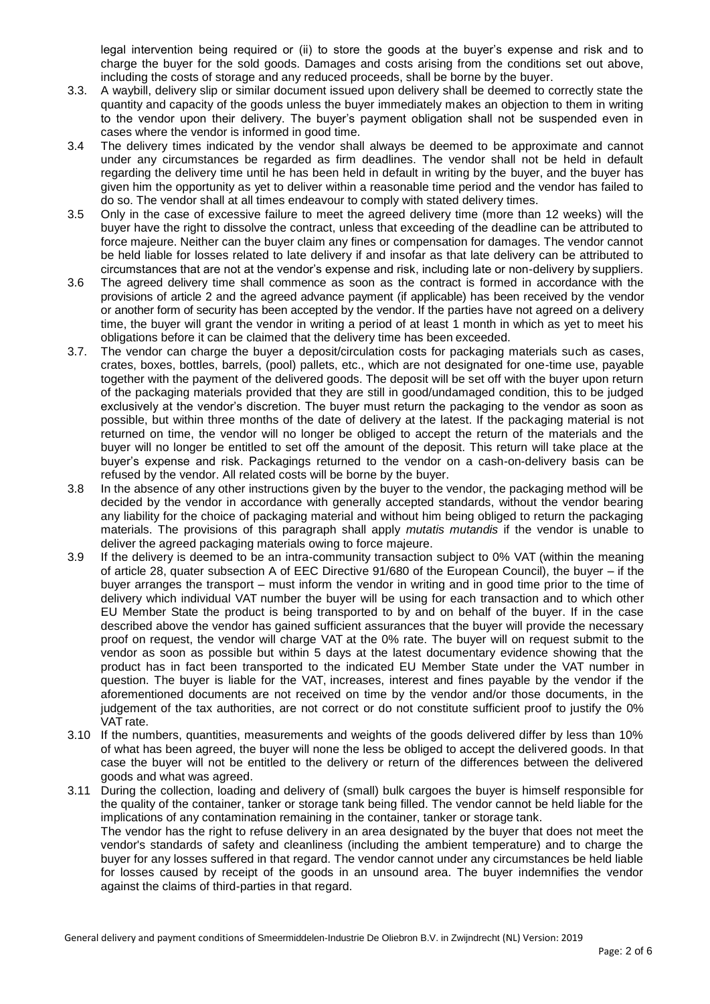legal intervention being required or (ii) to store the goods at the buyer's expense and risk and to charge the buyer for the sold goods. Damages and costs arising from the conditions set out above, including the costs of storage and any reduced proceeds, shall be borne by the buyer.

- 3.3. A waybill, delivery slip or similar document issued upon delivery shall be deemed to correctly state the quantity and capacity of the goods unless the buyer immediately makes an objection to them in writing to the vendor upon their delivery. The buyer's payment obligation shall not be suspended even in cases where the vendor is informed in good time.
- 3.4 The delivery times indicated by the vendor shall always be deemed to be approximate and cannot under any circumstances be regarded as firm deadlines. The vendor shall not be held in default regarding the delivery time until he has been held in default in writing by the buyer, and the buyer has given him the opportunity as yet to deliver within a reasonable time period and the vendor has failed to do so. The vendor shall at all times endeavour to comply with stated delivery times.
- 3.5 Only in the case of excessive failure to meet the agreed delivery time (more than 12 weeks) will the buyer have the right to dissolve the contract, unless that exceeding of the deadline can be attributed to force majeure. Neither can the buyer claim any fines or compensation for damages. The vendor cannot be held liable for losses related to late delivery if and insofar as that late delivery can be attributed to circumstances that are not at the vendor's expense and risk, including late or non-delivery by suppliers.
- 3.6 The agreed delivery time shall commence as soon as the contract is formed in accordance with the provisions of article 2 and the agreed advance payment (if applicable) has been received by the vendor or another form of security has been accepted by the vendor. If the parties have not agreed on a delivery time, the buyer will grant the vendor in writing a period of at least 1 month in which as yet to meet his obligations before it can be claimed that the delivery time has been exceeded.
- 3.7. The vendor can charge the buyer a deposit/circulation costs for packaging materials such as cases, crates, boxes, bottles, barrels, (pool) pallets, etc., which are not designated for one-time use, payable together with the payment of the delivered goods. The deposit will be set off with the buyer upon return of the packaging materials provided that they are still in good/undamaged condition, this to be judged exclusively at the vendor's discretion. The buyer must return the packaging to the vendor as soon as possible, but within three months of the date of delivery at the latest. If the packaging material is not returned on time, the vendor will no longer be obliged to accept the return of the materials and the buyer will no longer be entitled to set off the amount of the deposit. This return will take place at the buyer's expense and risk. Packagings returned to the vendor on a cash-on-delivery basis can be refused by the vendor. All related costs will be borne by the buyer.
- 3.8 In the absence of any other instructions given by the buyer to the vendor, the packaging method will be decided by the vendor in accordance with generally accepted standards, without the vendor bearing any liability for the choice of packaging material and without him being obliged to return the packaging materials. The provisions of this paragraph shall apply *mutatis mutandis* if the vendor is unable to deliver the agreed packaging materials owing to force majeure.
- 3.9 If the delivery is deemed to be an intra-community transaction subject to 0% VAT (within the meaning of article 28, quater subsection A of EEC Directive 91/680 of the European Council), the buyer – if the buyer arranges the transport – must inform the vendor in writing and in good time prior to the time of delivery which individual VAT number the buyer will be using for each transaction and to which other EU Member State the product is being transported to by and on behalf of the buyer. If in the case described above the vendor has gained sufficient assurances that the buyer will provide the necessary proof on request, the vendor will charge VAT at the 0% rate. The buyer will on request submit to the vendor as soon as possible but within 5 days at the latest documentary evidence showing that the product has in fact been transported to the indicated EU Member State under the VAT number in question. The buyer is liable for the VAT, increases, interest and fines payable by the vendor if the aforementioned documents are not received on time by the vendor and/or those documents, in the judgement of the tax authorities, are not correct or do not constitute sufficient proof to justify the 0% VAT rate.
- 3.10 If the numbers, quantities, measurements and weights of the goods delivered differ by less than 10% of what has been agreed, the buyer will none the less be obliged to accept the delivered goods. In that case the buyer will not be entitled to the delivery or return of the differences between the delivered goods and what was agreed.
- 3.11 During the collection, loading and delivery of (small) bulk cargoes the buyer is himself responsible for the quality of the container, tanker or storage tank being filled. The vendor cannot be held liable for the implications of any contamination remaining in the container, tanker or storage tank. The vendor has the right to refuse delivery in an area designated by the buyer that does not meet the vendor's standards of safety and cleanliness (including the ambient temperature) and to charge the buyer for any losses suffered in that regard. The vendor cannot under any circumstances be held liable for losses caused by receipt of the goods in an unsound area. The buyer indemnifies the vendor against the claims of third-parties in that regard.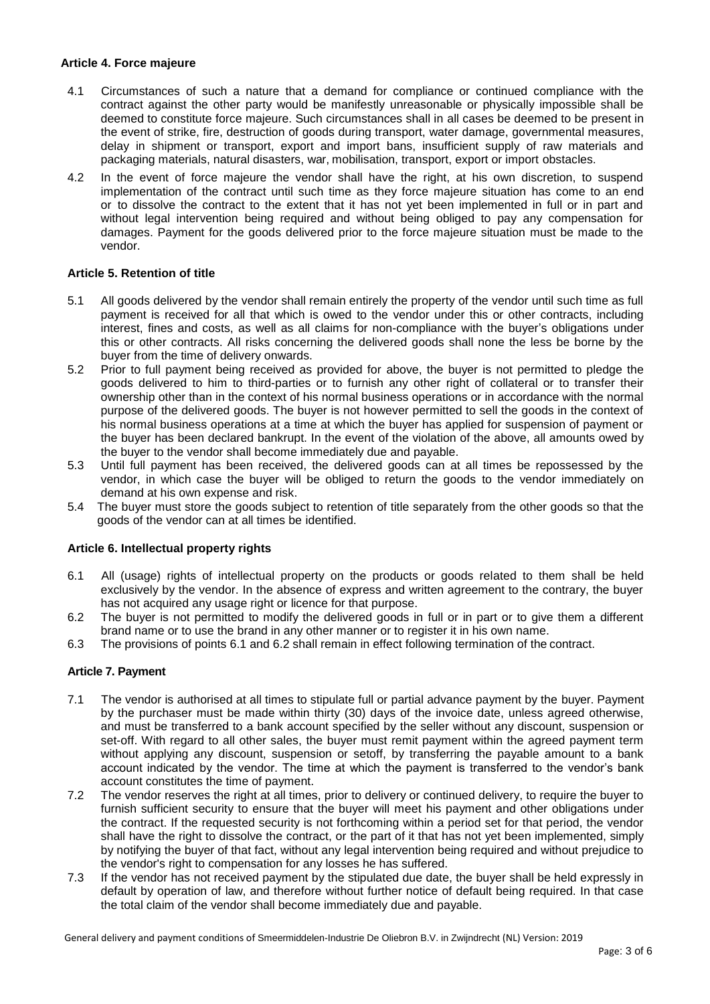### **Article 4. Force majeure**

- 4.1 Circumstances of such a nature that a demand for compliance or continued compliance with the contract against the other party would be manifestly unreasonable or physically impossible shall be deemed to constitute force majeure. Such circumstances shall in all cases be deemed to be present in the event of strike, fire, destruction of goods during transport, water damage, governmental measures, delay in shipment or transport, export and import bans, insufficient supply of raw materials and packaging materials, natural disasters, war, mobilisation, transport, export or import obstacles.
- 4.2 In the event of force majeure the vendor shall have the right, at his own discretion, to suspend implementation of the contract until such time as they force majeure situation has come to an end or to dissolve the contract to the extent that it has not yet been implemented in full or in part and without legal intervention being required and without being obliged to pay any compensation for damages. Payment for the goods delivered prior to the force majeure situation must be made to the vendor.

# **Article 5. Retention of title**

- 5.1 All goods delivered by the vendor shall remain entirely the property of the vendor until such time as full payment is received for all that which is owed to the vendor under this or other contracts, including interest, fines and costs, as well as all claims for non-compliance with the buyer's obligations under this or other contracts. All risks concerning the delivered goods shall none the less be borne by the buyer from the time of delivery onwards.
- 5.2 Prior to full payment being received as provided for above, the buyer is not permitted to pledge the goods delivered to him to third-parties or to furnish any other right of collateral or to transfer their ownership other than in the context of his normal business operations or in accordance with the normal purpose of the delivered goods. The buyer is not however permitted to sell the goods in the context of his normal business operations at a time at which the buyer has applied for suspension of payment or the buyer has been declared bankrupt. In the event of the violation of the above, all amounts owed by the buyer to the vendor shall become immediately due and payable.
- 5.3 Until full payment has been received, the delivered goods can at all times be repossessed by the vendor, in which case the buyer will be obliged to return the goods to the vendor immediately on demand at his own expense and risk.
- 5.4 The buyer must store the goods subject to retention of title separately from the other goods so that the goods of the vendor can at all times be identified.

### **Article 6. Intellectual property rights**

- 6.1 All (usage) rights of intellectual property on the products or goods related to them shall be held exclusively by the vendor. In the absence of express and written agreement to the contrary, the buyer has not acquired any usage right or licence for that purpose.
- 6.2 The buyer is not permitted to modify the delivered goods in full or in part or to give them a different brand name or to use the brand in any other manner or to register it in his own name.
- 6.3 The provisions of points 6.1 and 6.2 shall remain in effect following termination of the contract.

### **Article 7. Payment**

- 7.1 The vendor is authorised at all times to stipulate full or partial advance payment by the buyer. Payment by the purchaser must be made within thirty (30) days of the invoice date, unless agreed otherwise, and must be transferred to a bank account specified by the seller without any discount, suspension or set-off. With regard to all other sales, the buyer must remit payment within the agreed payment term without applying any discount, suspension or setoff, by transferring the payable amount to a bank account indicated by the vendor. The time at which the payment is transferred to the vendor's bank account constitutes the time of payment.
- 7.2 The vendor reserves the right at all times, prior to delivery or continued delivery, to require the buyer to furnish sufficient security to ensure that the buyer will meet his payment and other obligations under the contract. If the requested security is not forthcoming within a period set for that period, the vendor shall have the right to dissolve the contract, or the part of it that has not yet been implemented, simply by notifying the buyer of that fact, without any legal intervention being required and without prejudice to the vendor's right to compensation for any losses he has suffered.
- 7.3 If the vendor has not received payment by the stipulated due date, the buyer shall be held expressly in default by operation of law, and therefore without further notice of default being required. In that case the total claim of the vendor shall become immediately due and payable.

General delivery and payment conditions of Smeermiddelen-Industrie De Oliebron B.V. in Zwijndrecht (NL) Version: 2019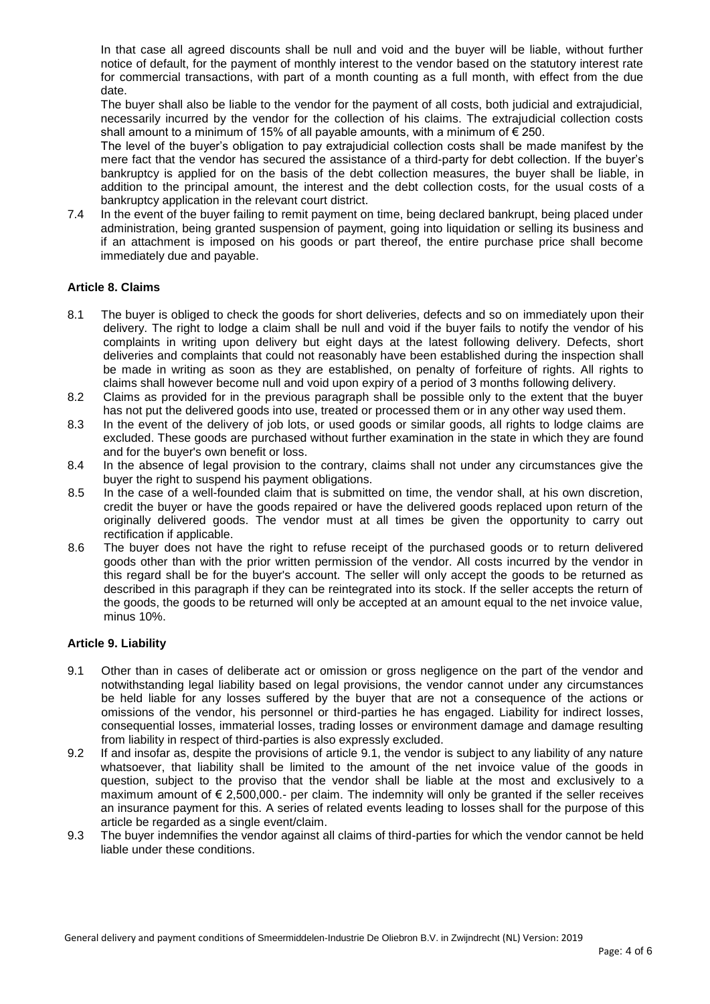In that case all agreed discounts shall be null and void and the buyer will be liable, without further notice of default, for the payment of monthly interest to the vendor based on the statutory interest rate for commercial transactions, with part of a month counting as a full month, with effect from the due date.

The buyer shall also be liable to the vendor for the payment of all costs, both judicial and extrajudicial, necessarily incurred by the vendor for the collection of his claims. The extrajudicial collection costs shall amount to a minimum of 15% of all payable amounts, with a minimum of  $\epsilon$  250.

The level of the buyer's obligation to pay extrajudicial collection costs shall be made manifest by the mere fact that the vendor has secured the assistance of a third-party for debt collection. If the buyer's bankruptcy is applied for on the basis of the debt collection measures, the buyer shall be liable, in addition to the principal amount, the interest and the debt collection costs, for the usual costs of a bankruptcy application in the relevant court district.

7.4 In the event of the buyer failing to remit payment on time, being declared bankrupt, being placed under administration, being granted suspension of payment, going into liquidation or selling its business and if an attachment is imposed on his goods or part thereof, the entire purchase price shall become immediately due and payable.

# **Article 8. Claims**

- 8.1 The buyer is obliged to check the goods for short deliveries, defects and so on immediately upon their delivery. The right to lodge a claim shall be null and void if the buyer fails to notify the vendor of his complaints in writing upon delivery but eight days at the latest following delivery. Defects, short deliveries and complaints that could not reasonably have been established during the inspection shall be made in writing as soon as they are established, on penalty of forfeiture of rights. All rights to claims shall however become null and void upon expiry of a period of 3 months following delivery.
- 8.2 Claims as provided for in the previous paragraph shall be possible only to the extent that the buyer has not put the delivered goods into use, treated or processed them or in any other way used them.
- 8.3 In the event of the delivery of job lots, or used goods or similar goods, all rights to lodge claims are excluded. These goods are purchased without further examination in the state in which they are found and for the buyer's own benefit or loss.
- 8.4 In the absence of legal provision to the contrary, claims shall not under any circumstances give the buyer the right to suspend his payment obligations.
- 8.5 In the case of a well-founded claim that is submitted on time, the vendor shall, at his own discretion, credit the buyer or have the goods repaired or have the delivered goods replaced upon return of the originally delivered goods. The vendor must at all times be given the opportunity to carry out rectification if applicable.
- 8.6 The buyer does not have the right to refuse receipt of the purchased goods or to return delivered goods other than with the prior written permission of the vendor. All costs incurred by the vendor in this regard shall be for the buyer's account. The seller will only accept the goods to be returned as described in this paragraph if they can be reintegrated into its stock. If the seller accepts the return of the goods, the goods to be returned will only be accepted at an amount equal to the net invoice value, minus 10%.

# **Article 9. Liability**

- 9.1 Other than in cases of deliberate act or omission or gross negligence on the part of the vendor and notwithstanding legal liability based on legal provisions, the vendor cannot under any circumstances be held liable for any losses suffered by the buyer that are not a consequence of the actions or omissions of the vendor, his personnel or third-parties he has engaged. Liability for indirect losses, consequential losses, immaterial losses, trading losses or environment damage and damage resulting from liability in respect of third-parties is also expressly excluded.
- 9.2 If and insofar as, despite the provisions of article 9.1, the vendor is subject to any liability of any nature whatsoever, that liability shall be limited to the amount of the net invoice value of the goods in question, subject to the proviso that the vendor shall be liable at the most and exclusively to a maximum amount of  $\epsilon$  2,500,000.- per claim. The indemnity will only be granted if the seller receives an insurance payment for this. A series of related events leading to losses shall for the purpose of this article be regarded as a single event/claim.
- 9.3 The buyer indemnifies the vendor against all claims of third-parties for which the vendor cannot be held liable under these conditions.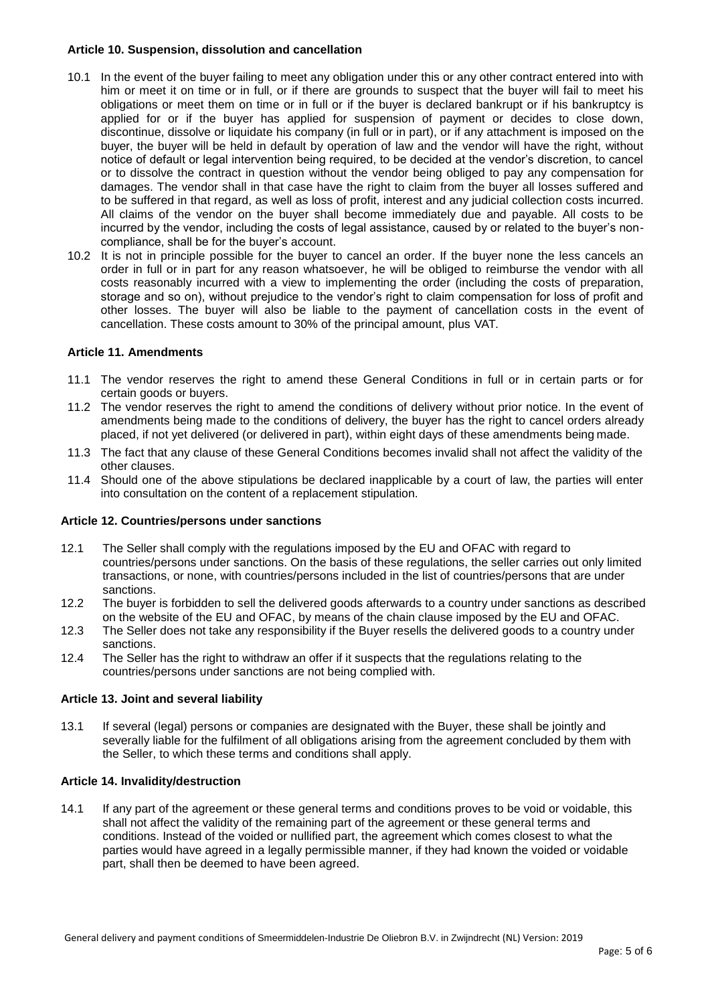## **Article 10. Suspension, dissolution and cancellation**

- 10.1 In the event of the buyer failing to meet any obligation under this or any other contract entered into with him or meet it on time or in full, or if there are grounds to suspect that the buyer will fail to meet his obligations or meet them on time or in full or if the buyer is declared bankrupt or if his bankruptcy is applied for or if the buyer has applied for suspension of payment or decides to close down, discontinue, dissolve or liquidate his company (in full or in part), or if any attachment is imposed on the buyer, the buyer will be held in default by operation of law and the vendor will have the right, without notice of default or legal intervention being required, to be decided at the vendor's discretion, to cancel or to dissolve the contract in question without the vendor being obliged to pay any compensation for damages. The vendor shall in that case have the right to claim from the buyer all losses suffered and to be suffered in that regard, as well as loss of profit, interest and any judicial collection costs incurred. All claims of the vendor on the buyer shall become immediately due and payable. All costs to be incurred by the vendor, including the costs of legal assistance, caused by or related to the buyer's noncompliance, shall be for the buyer's account.
- 10.2 It is not in principle possible for the buyer to cancel an order. If the buyer none the less cancels an order in full or in part for any reason whatsoever, he will be obliged to reimburse the vendor with all costs reasonably incurred with a view to implementing the order (including the costs of preparation, storage and so on), without prejudice to the vendor's right to claim compensation for loss of profit and other losses. The buyer will also be liable to the payment of cancellation costs in the event of cancellation. These costs amount to 30% of the principal amount, plus VAT.

### **Article 11. Amendments**

- 11.1 The vendor reserves the right to amend these General Conditions in full or in certain parts or for certain goods or buyers.
- 11.2 The vendor reserves the right to amend the conditions of delivery without prior notice. In the event of amendments being made to the conditions of delivery, the buyer has the right to cancel orders already placed, if not yet delivered (or delivered in part), within eight days of these amendments being made.
- 11.3 The fact that any clause of these General Conditions becomes invalid shall not affect the validity of the other clauses.
- 11.4 Should one of the above stipulations be declared inapplicable by a court of law, the parties will enter into consultation on the content of a replacement stipulation.

### **Article 12. Countries/persons under sanctions**

- 12.1 The Seller shall comply with the regulations imposed by the EU and OFAC with regard to countries/persons under sanctions. On the basis of these regulations, the seller carries out only limited transactions, or none, with countries/persons included in the list of countries/persons that are under sanctions.
- 12.2 The buyer is forbidden to sell the delivered goods afterwards to a country under sanctions as described on the website of the EU and OFAC, by means of the chain clause imposed by the EU and OFAC.
- 12.3 The Seller does not take any responsibility if the Buyer resells the delivered goods to a country under sanctions.
- 12.4 The Seller has the right to withdraw an offer if it suspects that the regulations relating to the countries/persons under sanctions are not being complied with.

### **Article 13. Joint and several liability**

13.1 If several (legal) persons or companies are designated with the Buyer, these shall be jointly and severally liable for the fulfilment of all obligations arising from the agreement concluded by them with the Seller, to which these terms and conditions shall apply.

### **Article 14. Invalidity/destruction**

14.1 If any part of the agreement or these general terms and conditions proves to be void or voidable, this shall not affect the validity of the remaining part of the agreement or these general terms and conditions. Instead of the voided or nullified part, the agreement which comes closest to what the parties would have agreed in a legally permissible manner, if they had known the voided or voidable part, shall then be deemed to have been agreed.